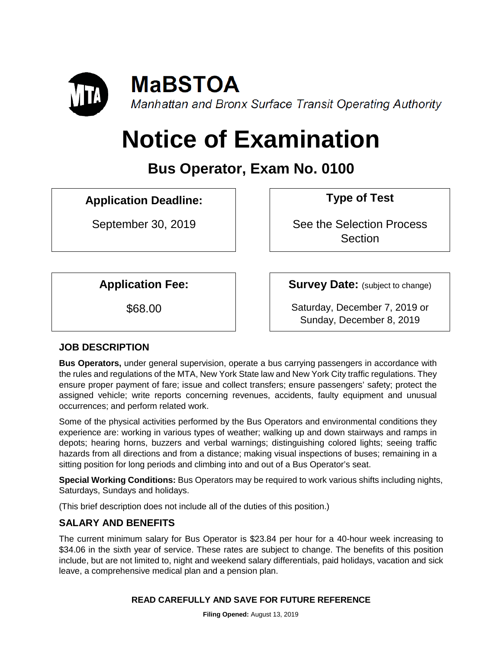

# **Notice of Examination**

# **Bus Operator, Exam No. 0100**

# **Application Deadline: Type of Test**

September 30, 2019 See the Selection Process **Section** 

**Application Fee: Survey Date:** (subject to change)

\$68.00 Saturday, December 7, 2019 or Sunday, December 8, 2019

# **JOB DESCRIPTION**

**Bus Operators,** under general supervision, operate a bus carrying passengers in accordance with the rules and regulations of the MTA, New York State law and New York City traffic regulations. They ensure proper payment of fare; issue and collect transfers; ensure passengers' safety; protect the assigned vehicle; write reports concerning revenues, accidents, faulty equipment and unusual occurrences; and perform related work.

Some of the physical activities performed by the Bus Operators and environmental conditions they experience are: working in various types of weather; walking up and down stairways and ramps in depots; hearing horns, buzzers and verbal warnings; distinguishing colored lights; seeing traffic hazards from all directions and from a distance; making visual inspections of buses; remaining in a sitting position for long periods and climbing into and out of a Bus Operator's seat.

**Special Working Conditions:** Bus Operators may be required to work various shifts including nights, Saturdays, Sundays and holidays.

(This brief description does not include all of the duties of this position.)

# **SALARY AND BENEFITS**

The current minimum salary for Bus Operator is \$23.84 per hour for a 40-hour week increasing to \$34.06 in the sixth year of service. These rates are subject to change. The benefits of this position include, but are not limited to, night and weekend salary differentials, paid holidays, vacation and sick leave, a comprehensive medical plan and a pension plan.

#### **READ CAREFULLY AND SAVE FOR FUTURE REFERENCE**

**Filing Opened:** August 13, 2019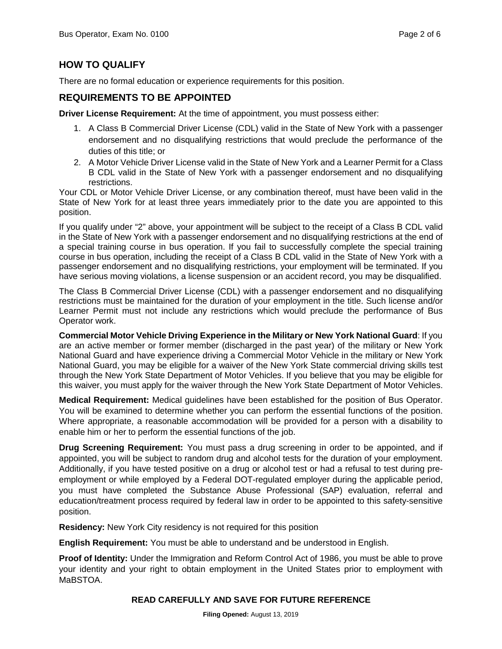## **HOW TO QUALIFY**

There are no formal education or experience requirements for this position.

#### **REQUIREMENTS TO BE APPOINTED**

**Driver License Requirement:** At the time of appointment, you must possess either:

- 1. A Class B Commercial Driver License (CDL) valid in the State of New York with a passenger endorsement and no disqualifying restrictions that would preclude the performance of the duties of this title; or
- 2. A Motor Vehicle Driver License valid in the State of New York and a Learner Permit for a Class B CDL valid in the State of New York with a passenger endorsement and no disqualifying restrictions.

Your CDL or Motor Vehicle Driver License, or any combination thereof, must have been valid in the State of New York for at least three years immediately prior to the date you are appointed to this position.

If you qualify under "2" above, your appointment will be subject to the receipt of a Class B CDL valid in the State of New York with a passenger endorsement and no disqualifying restrictions at the end of a special training course in bus operation. If you fail to successfully complete the special training course in bus operation, including the receipt of a Class B CDL valid in the State of New York with a passenger endorsement and no disqualifying restrictions, your employment will be terminated. If you have serious moving violations, a license suspension or an accident record, you may be disqualified.

The Class B Commercial Driver License (CDL) with a passenger endorsement and no disqualifying restrictions must be maintained for the duration of your employment in the title. Such license and/or Learner Permit must not include any restrictions which would preclude the performance of Bus Operator work.

**Commercial Motor Vehicle Driving Experience in the Military or New York National Guard**: If you are an active member or former member (discharged in the past year) of the military or New York National Guard and have experience driving a Commercial Motor Vehicle in the military or New York National Guard, you may be eligible for a waiver of the New York State commercial driving skills test through the New York State Department of Motor Vehicles. If you believe that you may be eligible for this waiver, you must apply for the waiver through the New York State Department of Motor Vehicles.

**Medical Requirement:** Medical guidelines have been established for the position of Bus Operator. You will be examined to determine whether you can perform the essential functions of the position. Where appropriate, a reasonable accommodation will be provided for a person with a disability to enable him or her to perform the essential functions of the job.

**Drug Screening Requirement:** You must pass a drug screening in order to be appointed, and if appointed, you will be subject to random drug and alcohol tests for the duration of your employment. Additionally, if you have tested positive on a drug or alcohol test or had a refusal to test during preemployment or while employed by a Federal DOT-regulated employer during the applicable period, you must have completed the Substance Abuse Professional (SAP) evaluation, referral and education/treatment process required by federal law in order to be appointed to this safety-sensitive position.

**Residency:** New York City residency is not required for this position

**English Requirement:** You must be able to understand and be understood in English.

**Proof of Identity:** Under the Immigration and Reform Control Act of 1986, you must be able to prove your identity and your right to obtain employment in the United States prior to employment with MaBSTOA.

#### **READ CAREFULLY AND SAVE FOR FUTURE REFERENCE**

**Filing Opened:** August 13, 2019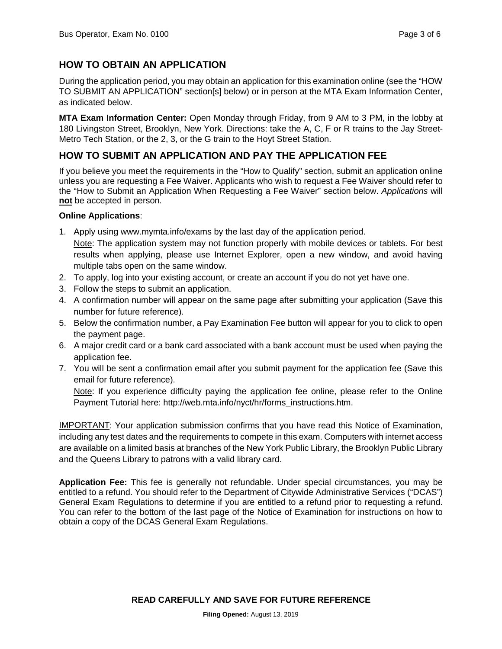## **HOW TO OBTAIN AN APPLICATION**

During the application period, you may obtain an application for this examination online (see the "HOW TO SUBMIT AN APPLICATION" section[s] below) or in person at the MTA Exam Information Center, as indicated below.

**MTA Exam Information Center:** Open Monday through Friday, from 9 AM to 3 PM, in the lobby at 180 Livingston Street, Brooklyn, New York. Directions: take the A, C, F or R trains to the Jay Street-Metro Tech Station, or the 2, 3, or the G train to the Hoyt Street Station.

## **HOW TO SUBMIT AN APPLICATION AND PAY THE APPLICATION FEE**

If you believe you meet the requirements in the "How to Qualify" section, submit an application online unless you are requesting a Fee Waiver. Applicants who wish to request a Fee Waiver should refer to the "How to Submit an Application When Requesting a Fee Waiver" section below. *Applications* will **not** be accepted in person.

#### **Online Applications**:

- 1. Apply using www.mymta.info/exams by the last day of the application period.
- Note: The application system may not function properly with mobile devices or tablets. For best results when applying, please use Internet Explorer, open a new window, and avoid having multiple tabs open on the same window.
- 2. To apply, log into your existing account, or create an account if you do not yet have one.
- 3. Follow the steps to submit an application.
- 4. A confirmation number will appear on the same page after submitting your application (Save this number for future reference).
- 5. Below the confirmation number, a Pay Examination Fee button will appear for you to click to open the payment page.
- 6. A major credit card or a bank card associated with a bank account must be used when paying the application fee.
- 7. You will be sent a confirmation email after you submit payment for the application fee (Save this email for future reference).

Note: If you experience difficulty paying the application fee online, please refer to the Online Payment Tutorial here: http://web.mta.info/nyct/hr/forms\_instructions.htm.

IMPORTANT: Your application submission confirms that you have read this Notice of Examination, including any test dates and the requirements to compete in this exam. Computers with internet access are available on a limited basis at branches of the New York Public Library, the Brooklyn Public Library and the Queens Library to patrons with a valid library card.

**Application Fee:** This fee is generally not refundable. Under special circumstances, you may be entitled to a refund. You should refer to the Department of Citywide Administrative Services ("DCAS") General Exam Regulations to determine if you are entitled to a refund prior to requesting a refund. You can refer to the bottom of the last page of the Notice of Examination for instructions on how to obtain a copy of the DCAS General Exam Regulations.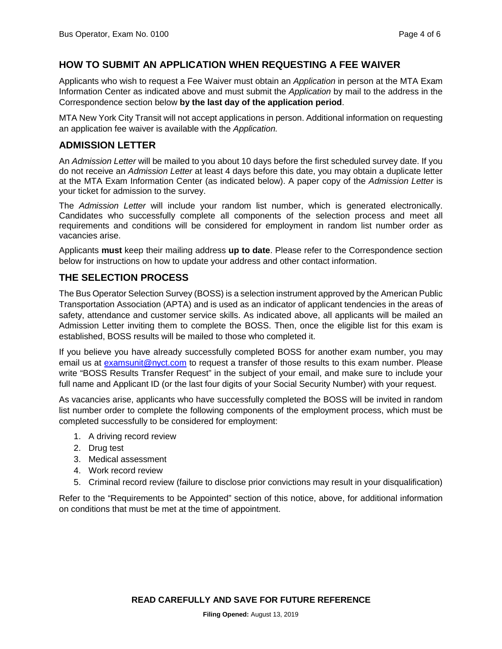#### **HOW TO SUBMIT AN APPLICATION WHEN REQUESTING A FEE WAIVER**

Applicants who wish to request a Fee Waiver must obtain an *Application* in person at the MTA Exam Information Center as indicated above and must submit the *Application* by mail to the address in the Correspondence section below **by the last day of the application period**.

MTA New York City Transit will not accept applications in person. Additional information on requesting an application fee waiver is available with the *Application.*

#### **ADMISSION LETTER**

An *Admission Letter* will be mailed to you about 10 days before the first scheduled survey date. If you do not receive an *Admission Letter* at least 4 days before this date, you may obtain a duplicate letter at the MTA Exam Information Center (as indicated below). A paper copy of the *Admission Letter* is your ticket for admission to the survey.

The *Admission Letter* will include your random list number, which is generated electronically. Candidates who successfully complete all components of the selection process and meet all requirements and conditions will be considered for employment in random list number order as vacancies arise.

Applicants **must** keep their mailing address **up to date**. Please refer to the Correspondence section below for instructions on how to update your address and other contact information.

#### **THE SELECTION PROCESS**

The Bus Operator Selection Survey (BOSS) is a selection instrument approved by the American Public Transportation Association (APTA) and is used as an indicator of applicant tendencies in the areas of safety, attendance and customer service skills. As indicated above, all applicants will be mailed an Admission Letter inviting them to complete the BOSS. Then, once the eligible list for this exam is established, BOSS results will be mailed to those who completed it.

If you believe you have already successfully completed BOSS for another exam number, you may email us at [examsunit@nyct.com](mailto:examsunit@nyct.com) to request a transfer of those results to this exam number. Please write "BOSS Results Transfer Request" in the subject of your email, and make sure to include your full name and Applicant ID (or the last four digits of your Social Security Number) with your request.

As vacancies arise, applicants who have successfully completed the BOSS will be invited in random list number order to complete the following components of the employment process, which must be completed successfully to be considered for employment:

- 1. A driving record review
- 2. Drug test
- 3. Medical assessment
- 4. Work record review
- 5. Criminal record review (failure to disclose prior convictions may result in your disqualification)

Refer to the "Requirements to be Appointed" section of this notice, above, for additional information on conditions that must be met at the time of appointment.

**READ CAREFULLY AND SAVE FOR FUTURE REFERENCE**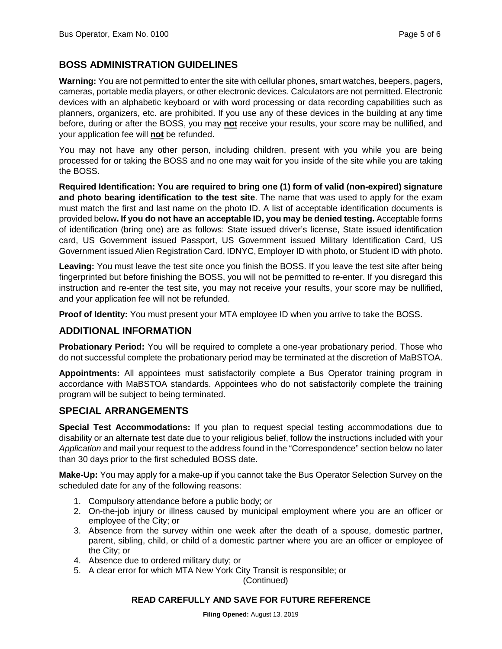#### **BOSS ADMINISTRATION GUIDELINES**

**Warning:** You are not permitted to enter the site with cellular phones, smart watches, beepers, pagers, cameras, portable media players, or other electronic devices. Calculators are not permitted. Electronic devices with an alphabetic keyboard or with word processing or data recording capabilities such as planners, organizers, etc. are prohibited. If you use any of these devices in the building at any time before, during or after the BOSS, you may **not** receive your results, your score may be nullified, and your application fee will **not** be refunded.

You may not have any other person, including children, present with you while you are being processed for or taking the BOSS and no one may wait for you inside of the site while you are taking the BOSS.

**Required Identification: You are required to bring one (1) form of valid (non-expired) signature and photo bearing identification to the test site**. The name that was used to apply for the exam must match the first and last name on the photo ID. A list of acceptable identification documents is provided below**. If you do not have an acceptable ID, you may be denied testing.** Acceptable forms of identification (bring one) are as follows: State issued driver's license, State issued identification card, US Government issued Passport, US Government issued Military Identification Card, US Government issued Alien Registration Card, IDNYC, Employer ID with photo, or Student ID with photo.

**Leaving:** You must leave the test site once you finish the BOSS. If you leave the test site after being fingerprinted but before finishing the BOSS, you will not be permitted to re-enter. If you disregard this instruction and re-enter the test site, you may not receive your results, your score may be nullified, and your application fee will not be refunded.

**Proof of Identity:** You must present your MTA employee ID when you arrive to take the BOSS.

#### **ADDITIONAL INFORMATION**

**Probationary Period:** You will be required to complete a one-year probationary period. Those who do not successful complete the probationary period may be terminated at the discretion of MaBSTOA.

**Appointments:** All appointees must satisfactorily complete a Bus Operator training program in accordance with MaBSTOA standards. Appointees who do not satisfactorily complete the training program will be subject to being terminated.

#### **SPECIAL ARRANGEMENTS**

**Special Test Accommodations:** If you plan to request special testing accommodations due to disability or an alternate test date due to your religious belief, follow the instructions included with your *Application* and mail your request to the address found in the "Correspondence" section below no later than 30 days prior to the first scheduled BOSS date.

**Make-Up:** You may apply for a make-up if you cannot take the Bus Operator Selection Survey on the scheduled date for any of the following reasons:

- 1. Compulsory attendance before a public body; or
- 2. On-the-job injury or illness caused by municipal employment where you are an officer or employee of the City; or
- 3. Absence from the survey within one week after the death of a spouse, domestic partner, parent, sibling, child, or child of a domestic partner where you are an officer or employee of the City; or
- 4. Absence due to ordered military duty; or
- 5. A clear error for which MTA New York City Transit is responsible; or

(Continued)

#### **READ CAREFULLY AND SAVE FOR FUTURE REFERENCE**